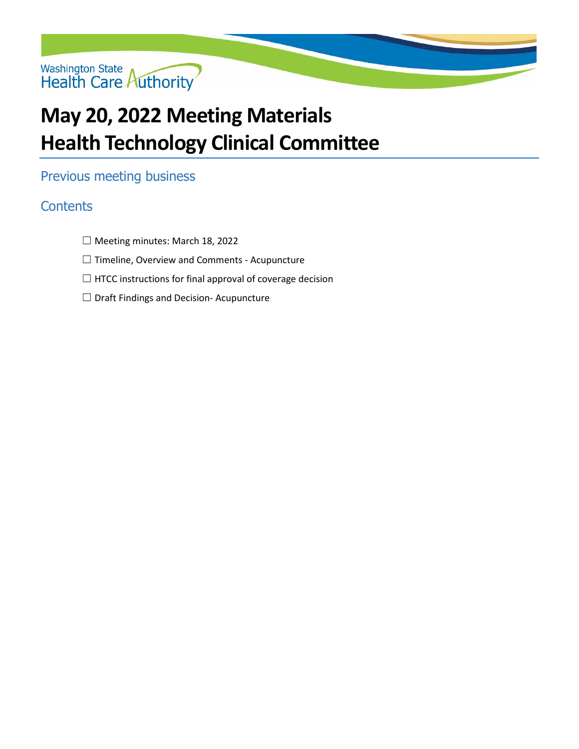

## **May 20, 2022 Meeting Materials Health Technology Clinical Committee**

## Previous meeting business

## **Contents**

- ☐ [Meeting minutes: March 18, 2022](#page-1-0)
- ☐ [Timeline, Overview and Comments -](#page-5-0) Acupuncture
- $\Box$  [HTCC instructions for final approval of coverage decision](#page-7-0)
- ☐ [Draft Findings and Decision-](#page-8-0) Acupuncture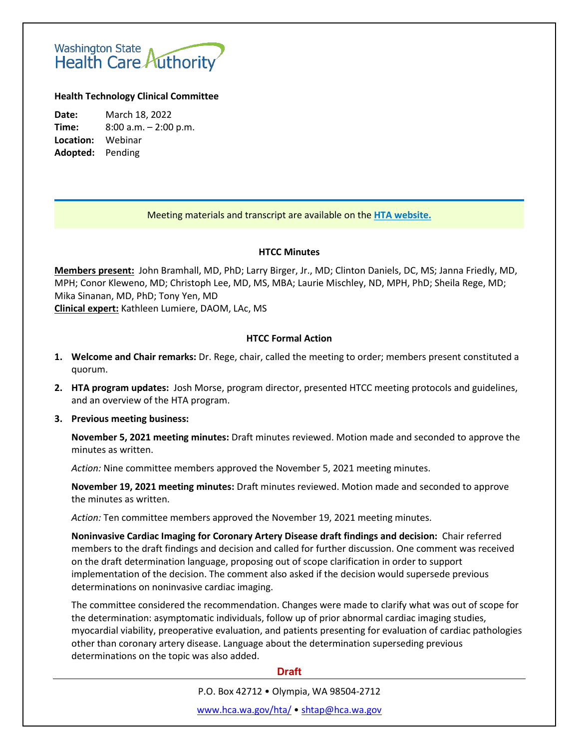# <span id="page-1-0"></span>Washington State<br>Health Care Authority

## **Health Technology Clinical Committee**

**Date:** March 18, 2022 **Time:** 8:00 a.m. – 2:00 p.m. **Location:** Webinar **Adopted:** Pending

## Meeting materials and transcript are available on the **[HTA website.](http://www.hca.wa.gov/about-hca/health-technology-assessment/meetings-and-materials)**

## **HTCC Minutes**

**Members present:** John Bramhall, MD, PhD; Larry Birger, Jr., MD; Clinton Daniels, DC, MS; Janna Friedly, MD, MPH; Conor Kleweno, MD; Christoph Lee, MD, MS, MBA; Laurie Mischley, ND, MPH, PhD; Sheila Rege, MD; Mika Sinanan, MD, PhD; Tony Yen, MD

**Clinical expert:** Kathleen Lumiere, DAOM, LAc, MS

## **HTCC Formal Action**

- **1. Welcome and Chair remarks:** Dr. Rege, chair, called the meeting to order; members present constituted a quorum.
- **2. HTA program updates:** Josh Morse, program director, presented HTCC meeting protocols and guidelines, and an overview of the HTA program.
- **3. Previous meeting business:**

**November 5, 2021 meeting minutes:** Draft minutes reviewed. Motion made and seconded to approve the minutes as written.

*Action:* Nine committee members approved the November 5, 2021 meeting minutes.

**November 19, 2021 meeting minutes:** Draft minutes reviewed. Motion made and seconded to approve the minutes as written.

*Action:* Ten committee members approved the November 19, 2021 meeting minutes.

**Noninvasive Cardiac Imaging for Coronary Artery Disease draft findings and decision:** Chair referred members to the draft findings and decision and called for further discussion. One comment was received on the draft determination language, proposing out of scope clarification in order to support implementation of the decision. The comment also asked if the decision would supersede previous determinations on noninvasive cardiac imaging.

The committee considered the recommendation. Changes were made to clarify what was out of scope for the determination: asymptomatic individuals, follow up of prior abnormal cardiac imaging studies, myocardial viability, preoperative evaluation, and patients presenting for evaluation of cardiac pathologies other than coronary artery disease. Language about the determination superseding previous determinations on the topic was also added.

## **Draft**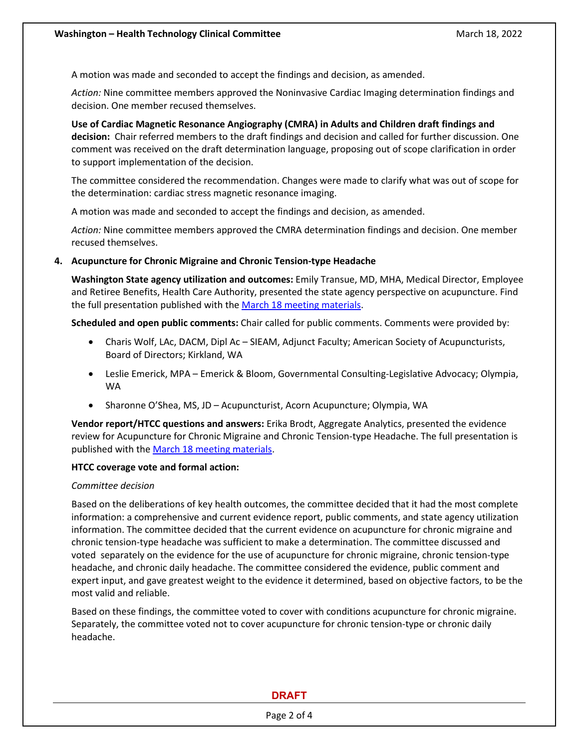A motion was made and seconded to accept the findings and decision, as amended.

*Action:* Nine committee members approved the Noninvasive Cardiac Imaging determination findings and decision. One member recused themselves.

**Use of Cardiac Magnetic Resonance Angiography (CMRA) in Adults and Children draft findings and decision:** Chair referred members to the draft findings and decision and called for further discussion. One comment was received on the draft determination language, proposing out of scope clarification in order to support implementation of the decision.

The committee considered the recommendation. Changes were made to clarify what was out of scope for the determination: cardiac stress magnetic resonance imaging.

A motion was made and seconded to accept the findings and decision, as amended.

*Action:* Nine committee members approved the CMRA determination findings and decision. One member recused themselves.

## **4. Acupuncture for Chronic Migraine and Chronic Tension-type Headache**

**Washington State agency utilization and outcomes:** Emily Transue, MD, MHA, Medical Director, Employee and Retiree Benefits, Health Care Authority, presented the state agency perspective on acupuncture. Find the full presentation published with the March 18 [meeting materials.](https://www.hca.wa.gov/about-hca/health-technology-assessment/meetings-and-materials)

**Scheduled and open public comments:** Chair called for public comments. Comments were provided by:

- Charis Wolf, LAc, DACM, Dipl Ac SIEAM, Adjunct Faculty; American Society of Acupuncturists, Board of Directors; Kirkland, WA
- Leslie Emerick, MPA Emerick & Bloom, Governmental Consulting-Legislative Advocacy; Olympia, WA
- Sharonne O'Shea, MS, JD Acupuncturist, Acorn Acupuncture; Olympia, WA

**Vendor report/HTCC questions and answers:** Erika Brodt, Aggregate Analytics, presented the evidence review for Acupuncture for Chronic Migraine and Chronic Tension-type Headache. The full presentation is published with the March 18 [meeting materials.](https://www.hca.wa.gov/about-hca/health-technology-assessment/meetings-and-materials)

## **HTCC coverage vote and formal action:**

## *Committee decision*

Based on the deliberations of key health outcomes, the committee decided that it had the most complete information: a comprehensive and current evidence report, public comments, and state agency utilization information. The committee decided that the current evidence on acupuncture for chronic migraine and chronic tension-type headache was sufficient to make a determination. The committee discussed and voted separately on the evidence for the use of acupuncture for chronic migraine, chronic tension-type headache, and chronic daily headache. The committee considered the evidence, public comment and expert input, and gave greatest weight to the evidence it determined, based on objective factors, to be the most valid and reliable.

Based on these findings, the committee voted to cover with conditions acupuncture for chronic migraine. Separately, the committee voted not to cover acupuncture for chronic tension-type or chronic daily headache.

## **DRAFT**

Page 2 of 4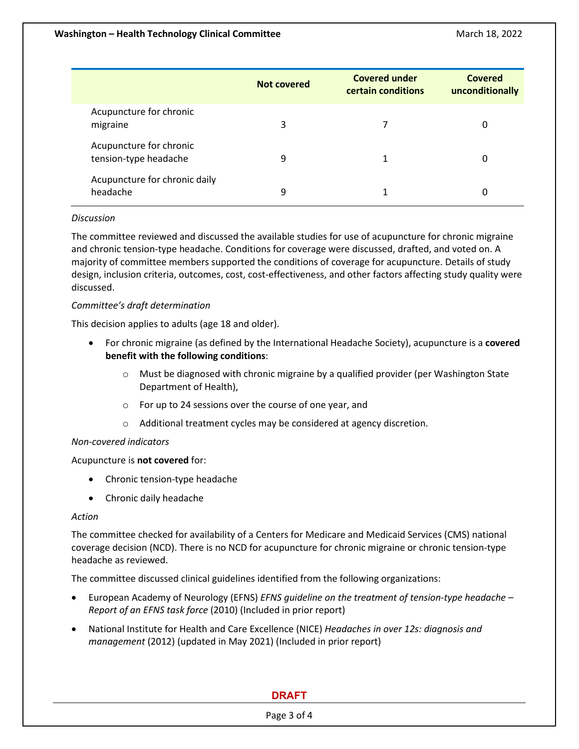|                                                  | Not covered | <b>Covered under</b><br>certain conditions | Covered<br>unconditionally |
|--------------------------------------------------|-------------|--------------------------------------------|----------------------------|
| Acupuncture for chronic<br>migraine              | 3           |                                            | 0                          |
| Acupuncture for chronic<br>tension-type headache | 9           | 1                                          | 0                          |
| Acupuncture for chronic daily<br>headache        | 9           | 1                                          | 0                          |

## *Discussion*

The committee reviewed and discussed the available studies for use of acupuncture for chronic migraine and chronic tension-type headache. Conditions for coverage were discussed, drafted, and voted on. A majority of committee members supported the conditions of coverage for acupuncture. Details of study design, inclusion criteria, outcomes, cost, cost-effectiveness, and other factors affecting study quality were discussed.

## *Committee's draft determination*

This decision applies to adults (age 18 and older).

- For chronic migraine (as defined by the International Headache Society), acupuncture is a **covered benefit with the following conditions**:
	- $\circ$  Must be diagnosed with chronic migraine by a qualified provider (per Washington State Department of Health),
	- o For up to 24 sessions over the course of one year, and
	- o Additional treatment cycles may be considered at agency discretion.

## *Non-covered indicators*

Acupuncture is **not covered** for:

- Chronic tension-type headache
- Chronic daily headache

## *Action*

The committee checked for availability of a Centers for Medicare and Medicaid Services (CMS) national coverage decision (NCD). There is no NCD for acupuncture for chronic migraine or chronic tension-type headache as reviewed.

The committee discussed clinical guidelines identified from the following organizations:

- European Academy of Neurology (EFNS) *EFNS guideline on the treatment of tension-type headache Report of an EFNS task force* (2010) (Included in prior report)
- National Institute for Health and Care Excellence (NICE) *Headaches in over 12s: diagnosis and management* (2012) (updated in May 2021) (Included in prior report)

## **DRAFT**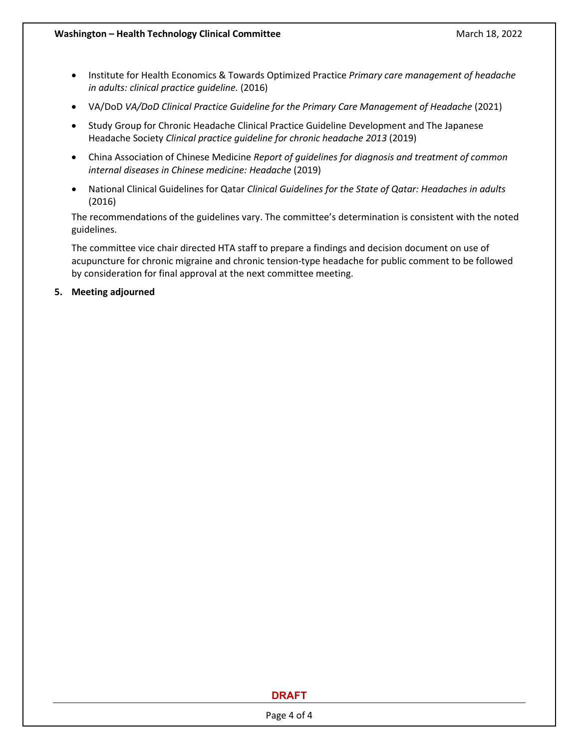- Institute for Health Economics & Towards Optimized Practice *Primary care management of headache in adults: clinical practice guideline.* (2016)
- VA/DoD VA/DoD Clinical Practice Guideline for the Primary Care Management of Headache (2021)
- Study Group for Chronic Headache Clinical Practice Guideline Development and The Japanese Headache Society *Clinical practice guideline for chronic headache 2013* (2019)
- China Association of Chinese Medicine *Report of guidelines for diagnosis and treatment of common internal diseases in Chinese medicine: Headache* (2019)
- National Clinical Guidelines for Qatar *Clinical Guidelines for the State of Qatar: Headaches in adults* (2016)

The recommendations of the guidelines vary. The committee's determination is consistent with the noted guidelines.

The committee vice chair directed HTA staff to prepare a findings and decision document on use of acupuncture for chronic migraine and chronic tension-type headache for public comment to be followed by consideration for final approval at the next committee meeting.

**5. Meeting adjourned**

## **DRAFT**

Page 4 of 4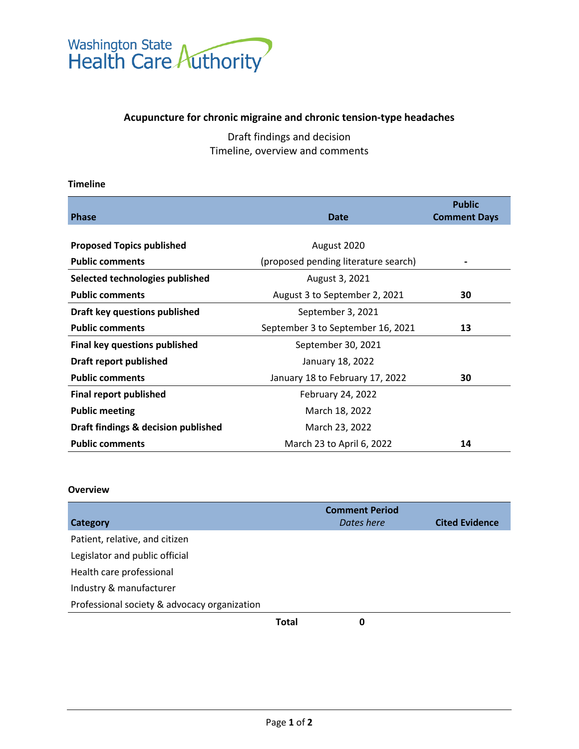<span id="page-5-0"></span>

## **Acupuncture for chronic migraine and chronic tension-type headaches**

Draft findings and decision Timeline, overview and comments

## **Timeline**

| <b>Phase</b>                         | <b>Date</b>                          | <b>Public</b><br><b>Comment Days</b> |
|--------------------------------------|--------------------------------------|--------------------------------------|
|                                      |                                      |                                      |
| <b>Proposed Topics published</b>     | August 2020                          |                                      |
| <b>Public comments</b>               | (proposed pending literature search) |                                      |
| Selected technologies published      | August 3, 2021                       |                                      |
| <b>Public comments</b>               | August 3 to September 2, 2021        | 30                                   |
| Draft key questions published        | September 3, 2021                    |                                      |
| <b>Public comments</b>               | September 3 to September 16, 2021    | 13                                   |
| <b>Final key questions published</b> | September 30, 2021                   |                                      |
| Draft report published               | January 18, 2022                     |                                      |
| <b>Public comments</b>               | January 18 to February 17, 2022      | 30                                   |
| <b>Final report published</b>        | February 24, 2022                    |                                      |
| <b>Public meeting</b>                | March 18, 2022                       |                                      |
| Draft findings & decision published  | March 23, 2022                       |                                      |
| <b>Public comments</b>               | March 23 to April 6, 2022            | 14                                   |

## **Overview**

|                                              |       | <b>Comment Period</b> |                       |
|----------------------------------------------|-------|-----------------------|-----------------------|
| Category                                     |       | Dates here            | <b>Cited Evidence</b> |
| Patient, relative, and citizen               |       |                       |                       |
| Legislator and public official               |       |                       |                       |
| Health care professional                     |       |                       |                       |
| Industry & manufacturer                      |       |                       |                       |
| Professional society & advocacy organization |       |                       |                       |
|                                              | Total | 0                     |                       |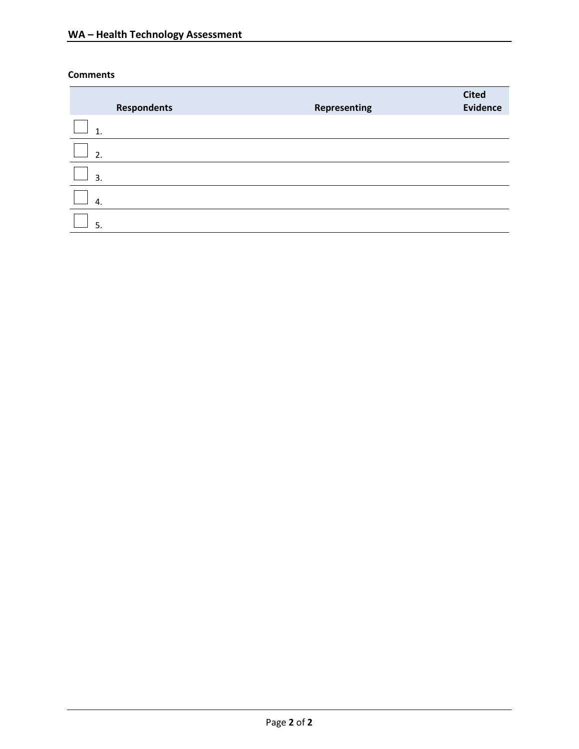## **Comments**

|    | <b>Respondents</b> | Representing | <b>Cited</b><br><b>Evidence</b> |
|----|--------------------|--------------|---------------------------------|
| 1  |                    |              |                                 |
| 2. |                    |              |                                 |
| 3. |                    |              |                                 |
| 4. |                    |              |                                 |
| 5. |                    |              |                                 |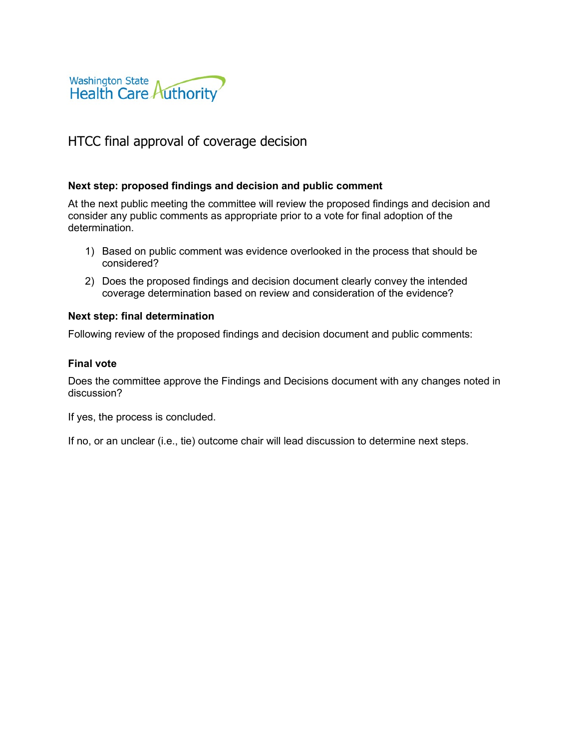<span id="page-7-0"></span>

## HTCC final approval of coverage decision

## **Next step: proposed findings and decision and public comment**

At the next public meeting the committee will review the proposed findings and decision and consider any public comments as appropriate prior to a vote for final adoption of the determination.

- 1) Based on public comment was evidence overlooked in the process that should be considered?
- 2) Does the proposed findings and decision document clearly convey the intended coverage determination based on review and consideration of the evidence?

## **Next step: final determination**

Following review of the proposed findings and decision document and public comments:

## **Final vote**

Does the committee approve the Findings and Decisions document with any changes noted in discussion?

If yes, the process is concluded.

If no, or an unclear (i.e., tie) outcome chair will lead discussion to determine next steps.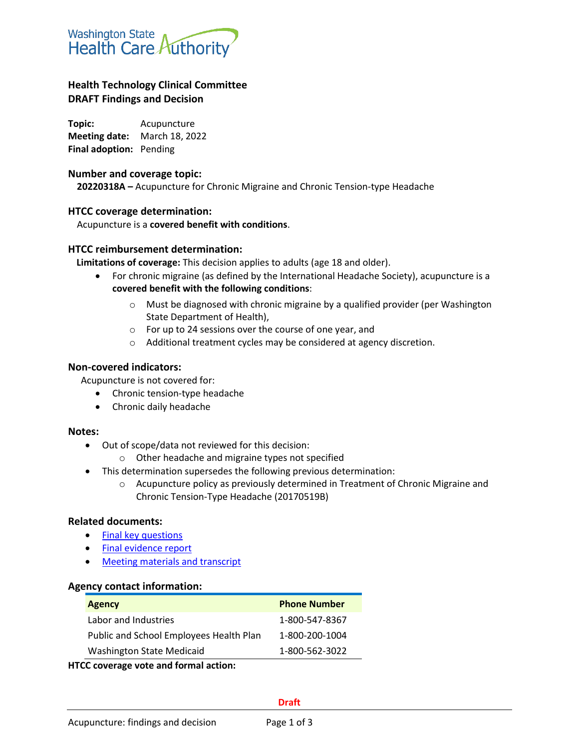<span id="page-8-0"></span>

## **Health Technology Clinical Committee DRAFT Findings and Decision**

**Topic:** Acupuncture **Meeting date:** March 18, 2022 **Final adoption:** Pending

## **Number and coverage topic:**

**20220318A –** Acupuncture for Chronic Migraine and Chronic Tension-type Headache

## **HTCC coverage determination:**

Acupuncture is a **covered benefit with conditions**.

## **HTCC reimbursement determination:**

**Limitations of coverage:** This decision applies to adults (age 18 and older).

- For chronic migraine (as defined by the International Headache Society), acupuncture is a **covered benefit with the following conditions**:
	- $\circ$  Must be diagnosed with chronic migraine by a qualified provider (per Washington State Department of Health),
	- o For up to 24 sessions over the course of one year, and
	- o Additional treatment cycles may be considered at agency discretion.

## **Non-covered indicators:**

Acupuncture is not covered for:

- Chronic tension-type headache
- Chronic daily headache

## **Notes:**

- Out of scope/data not reviewed for this decision:
	- o Other headache and migraine types not specified
- This determination supersedes the following previous determination:
	- $\circ$  Acupuncture policy as previously determined in Treatment of Chronic Migraine and Chronic Tension-Type Headache (20170519B)

## **Related documents:**

- Final key [questions](https://www.hca.wa.gov/assets/program/Acupuncture-chronic-headache-final-KQ-20210930.pdf)
- [Final evidence report](https://www.hca.wa.gov/assets/program/acupuncture-hta-final-report-2022-02-23.pdf)
- [Meeting materials and transcript](http://www.hca.wa.gov/about-hca/health-technology-assessment/meetings-and-materials)

## **Agency contact information:**

| <b>Phone Number</b> |
|---------------------|
| 1-800-547-8367      |
| 1-800-200-1004      |
| 1-800-562-3022      |
|                     |

**HTCC coverage vote and formal action:**

#### **Draft**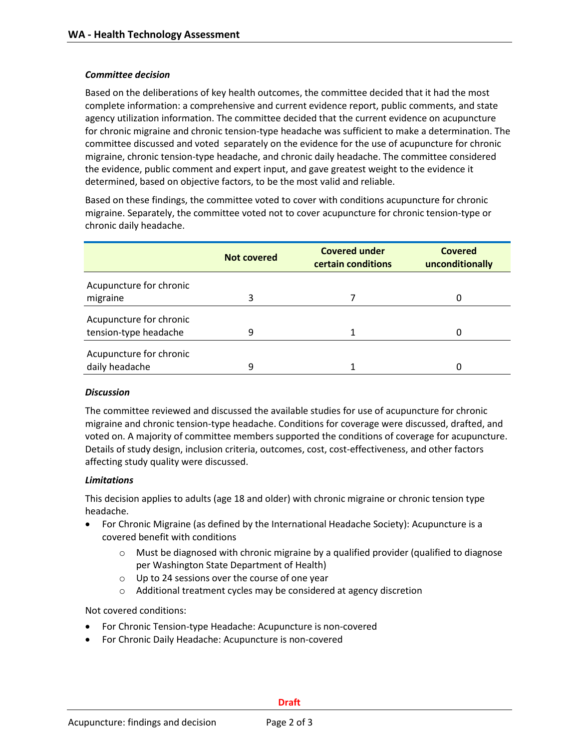## *Committee decision*

Based on the deliberations of key health outcomes, the committee decided that it had the most complete information: a comprehensive and current evidence report, public comments, and state agency utilization information. The committee decided that the current evidence on acupuncture for chronic migraine and chronic tension-type headache was sufficient to make a determination. The committee discussed and voted separately on the evidence for the use of acupuncture for chronic migraine, chronic tension-type headache, and chronic daily headache. The committee considered the evidence, public comment and expert input, and gave greatest weight to the evidence it determined, based on objective factors, to be the most valid and reliable.

Based on these findings, the committee voted to cover with conditions acupuncture for chronic migraine. Separately, the committee voted not to cover acupuncture for chronic tension-type or chronic daily headache.

|                         | Not covered | <b>Covered under</b><br>certain conditions | Covered<br>unconditionally |
|-------------------------|-------------|--------------------------------------------|----------------------------|
| Acupuncture for chronic |             |                                            |                            |
| migraine                | 3           |                                            |                            |
| Acupuncture for chronic |             |                                            |                            |
| tension-type headache   | 9           |                                            |                            |
| Acupuncture for chronic |             |                                            |                            |
| daily headache          | 9           |                                            |                            |

## *Discussion*

The committee reviewed and discussed the available studies for use of acupuncture for chronic migraine and chronic tension-type headache. Conditions for coverage were discussed, drafted, and voted on. A majority of committee members supported the conditions of coverage for acupuncture. Details of study design, inclusion criteria, outcomes, cost, cost-effectiveness, and other factors affecting study quality were discussed.

## *Limitations*

This decision applies to adults (age 18 and older) with chronic migraine or chronic tension type headache.

- For Chronic Migraine (as defined by the International Headache Society): Acupuncture is a covered benefit with conditions
	- $\circ$  Must be diagnosed with chronic migraine by a qualified provider (qualified to diagnose per Washington State Department of Health)
	- o Up to 24 sessions over the course of one year
	- o Additional treatment cycles may be considered at agency discretion

Not covered conditions:

- For Chronic Tension-type Headache: Acupuncture is non-covered
- For Chronic Daily Headache: Acupuncture is non-covered